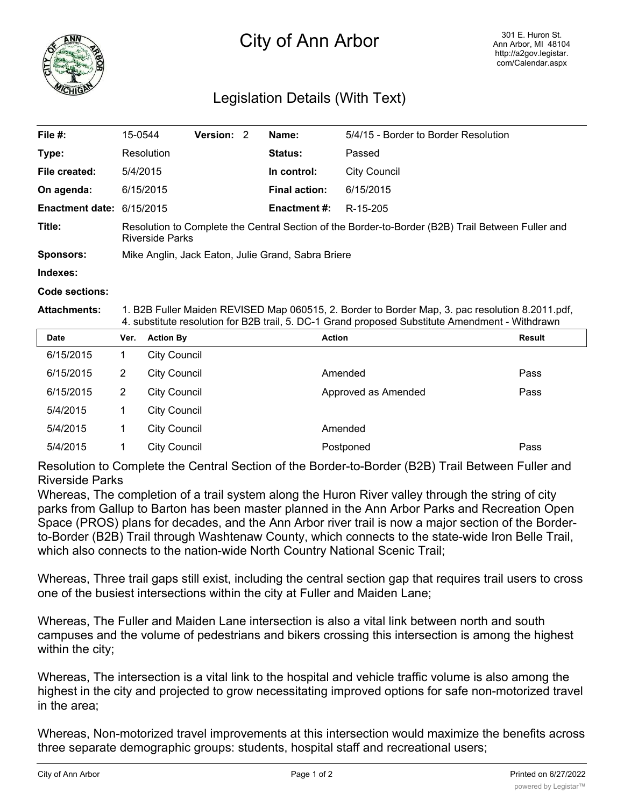

## City of Ann Arbor

## Legislation Details (With Text)

| File #:                   | 15-0544                                                                                                                     | <b>Version: 2</b> |  | Name:                | 5/4/15 - Border to Border Resolution |  |  |
|---------------------------|-----------------------------------------------------------------------------------------------------------------------------|-------------------|--|----------------------|--------------------------------------|--|--|
| Type:                     | Resolution                                                                                                                  |                   |  | Status:              | Passed                               |  |  |
| File created:             | 5/4/2015                                                                                                                    |                   |  | In control:          | City Council                         |  |  |
| On agenda:                | 6/15/2015                                                                                                                   |                   |  | <b>Final action:</b> | 6/15/2015                            |  |  |
| Enactment date: 6/15/2015 |                                                                                                                             |                   |  | <b>Enactment #:</b>  | R-15-205                             |  |  |
| Title:                    | Resolution to Complete the Central Section of the Border-to-Border (B2B) Trail Between Fuller and<br><b>Riverside Parks</b> |                   |  |                      |                                      |  |  |
| <b>Sponsors:</b>          | Mike Anglin, Jack Eaton, Julie Grand, Sabra Briere                                                                          |                   |  |                      |                                      |  |  |
| Indexes:                  |                                                                                                                             |                   |  |                      |                                      |  |  |

**Code sections:**

**Attachments:** 1. B2B Fuller Maiden REVISED Map 060515, 2. Border to Border Map, 3. pac resolution 8.2011.pdf, 4. substitute resolution for B2B trail, 5. DC-1 Grand proposed Substitute Amendment - Withdrawn

| <b>Date</b> | Ver. | <b>Action By</b>    | <b>Action</b>       | <b>Result</b> |
|-------------|------|---------------------|---------------------|---------------|
| 6/15/2015   |      | City Council        |                     |               |
| 6/15/2015   | 2    | City Council        | Amended             | Pass          |
| 6/15/2015   | 2    | <b>City Council</b> | Approved as Amended | Pass          |
| 5/4/2015    |      | City Council        |                     |               |
| 5/4/2015    |      | <b>City Council</b> | Amended             |               |
| 5/4/2015    |      | <b>City Council</b> | Postponed           | Pass          |

Resolution to Complete the Central Section of the Border-to-Border (B2B) Trail Between Fuller and Riverside Parks

Whereas, The completion of a trail system along the Huron River valley through the string of city parks from Gallup to Barton has been master planned in the Ann Arbor Parks and Recreation Open Space (PROS) plans for decades, and the Ann Arbor river trail is now a major section of the Borderto-Border (B2B) Trail through Washtenaw County, which connects to the state-wide Iron Belle Trail, which also connects to the nation-wide North Country National Scenic Trail;

Whereas, Three trail gaps still exist, including the central section gap that requires trail users to cross one of the busiest intersections within the city at Fuller and Maiden Lane;

Whereas, The Fuller and Maiden Lane intersection is also a vital link between north and south campuses and the volume of pedestrians and bikers crossing this intersection is among the highest within the city;

Whereas, The intersection is a vital link to the hospital and vehicle traffic volume is also among the highest in the city and projected to grow necessitating improved options for safe non-motorized travel in the area;

Whereas, Non-motorized travel improvements at this intersection would maximize the benefits across three separate demographic groups: students, hospital staff and recreational users;